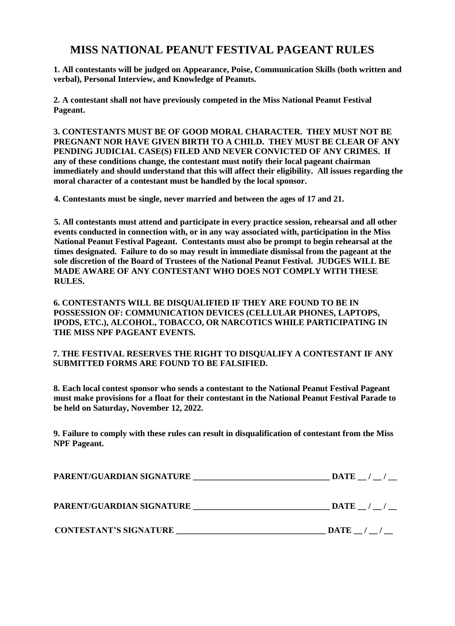## **MISS NATIONAL PEANUT FESTIVAL PAGEANT RULES**

**1. All contestants will be judged on Appearance, Poise, Communication Skills (both written and verbal), Personal Interview, and Knowledge of Peanuts.** 

**2. A contestant shall not have previously competed in the Miss National Peanut Festival Pageant.** 

**3. CONTESTANTS MUST BE OF GOOD MORAL CHARACTER. THEY MUST NOT BE PREGNANT NOR HAVE GIVEN BIRTH TO A CHILD. THEY MUST BE CLEAR OF ANY PENDING JUDICIAL CASE(S) FILED AND NEVER CONVICTED OF ANY CRIMES. If any of these conditions change, the contestant must notify their local pageant chairman immediately and should understand that this will affect their eligibility. All issues regarding the moral character of a contestant must be handled by the local sponsor.** 

 **4. Contestants must be single, never married and between the ages of 17 and 21.** 

**5. All contestants must attend and participate in every practice session, rehearsal and all other events conducted in connection with, or in any way associated with, participation in the Miss National Peanut Festival Pageant. Contestants must also be prompt to begin rehearsal at the times designated. Failure to do so may result in immediate dismissal from the pageant at the sole discretion of the Board of Trustees of the National Peanut Festival. JUDGES WILL BE MADE AWARE OF ANY CONTESTANT WHO DOES NOT COMPLY WITH THESE RULES.** 

**6. CONTESTANTS WILL BE DISQUALIFIED IF THEY ARE FOUND TO BE IN POSSESSION OF: COMMUNICATION DEVICES (CELLULAR PHONES, LAPTOPS, IPODS, ETC.), ALCOHOL, TOBACCO, OR NARCOTICS WHILE PARTICIPATING IN THE MISS NPF PAGEANT EVENTS.** 

### **7. THE FESTIVAL RESERVES THE RIGHT TO DISQUALIFY A CONTESTANT IF ANY SUBMITTED FORMS ARE FOUND TO BE FALSIFIED.**

**8. Each local contest sponsor who sends a contestant to the National Peanut Festival Pageant must make provisions for a float for their contestant in the National Peanut Festival Parade to be held on Saturday, November 12, 2022.** 

**9. Failure to comply with these rules can result in disqualification of contestant from the Miss NPF Pageant.** 

| PARENT/GUARDIAN SIGNATURE     | $\bf{DATE}$ / /     |
|-------------------------------|---------------------|
| PARENT/GUARDIAN SIGNATURE     | $\mathbf{DATE}$ / / |
| <b>CONTESTANT'S SIGNATURE</b> | $\textbf{DATE}$ / / |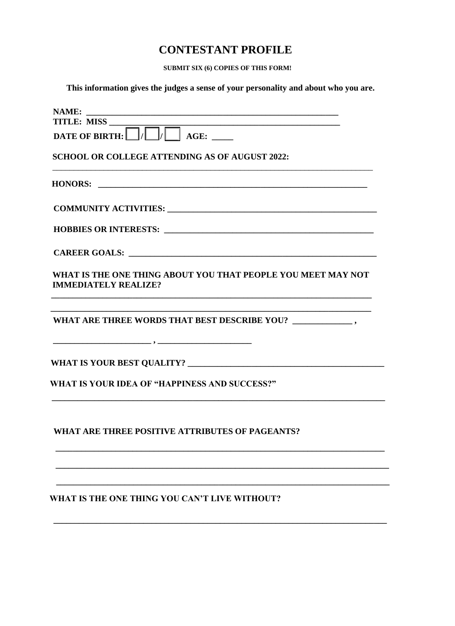## **CONTESTANT PROFILE**

SUBMIT SIX (6) COPIES OF THIS FORM!

This information gives the judges a sense of your personality and about who you are.

| TITLE: MISS                                                                                 |
|---------------------------------------------------------------------------------------------|
|                                                                                             |
| <b>SCHOOL OR COLLEGE ATTENDING AS OF AUGUST 2022:</b>                                       |
|                                                                                             |
|                                                                                             |
|                                                                                             |
|                                                                                             |
| WHAT IS THE ONE THING ABOUT YOU THAT PEOPLE YOU MEET MAY NOT<br><b>IMMEDIATELY REALIZE?</b> |
|                                                                                             |
|                                                                                             |
| WHAT IS YOUR IDEA OF "HAPPINESS AND SUCCESS?"                                               |
| WHAT ARE THREE POSITIVE ATTRIBUTES OF PAGEANTS?                                             |
|                                                                                             |
| WHAT IS THE ONE THING YOU CAN'T LIVE WITHOUT?                                               |
|                                                                                             |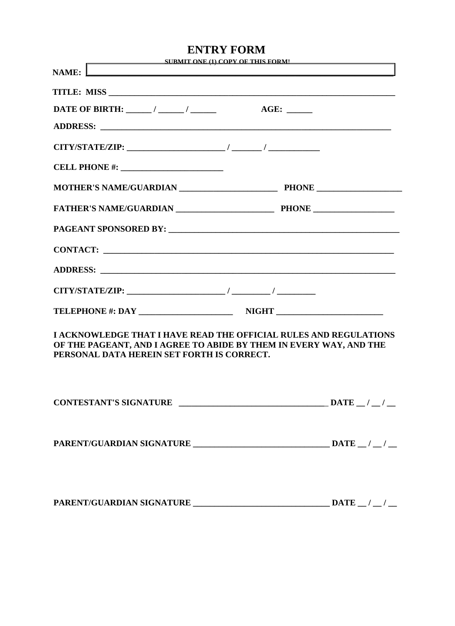|                                                                                                                                                                                                                                                                                                                                                                                                                                             | <b>ENTRY FORM</b>                                                                                                                       |
|---------------------------------------------------------------------------------------------------------------------------------------------------------------------------------------------------------------------------------------------------------------------------------------------------------------------------------------------------------------------------------------------------------------------------------------------|-----------------------------------------------------------------------------------------------------------------------------------------|
| NAME: $\mathsf{\mathsf{L}}$<br>the control of the control of the control of the control of the control of                                                                                                                                                                                                                                                                                                                                   | SURMIT ONE (1) COPY OF THIS FORM!                                                                                                       |
|                                                                                                                                                                                                                                                                                                                                                                                                                                             |                                                                                                                                         |
| DATE OF BIRTH: $\frac{1}{\frac{1}{2} \cdot \frac{1}{2} \cdot \frac{1}{2} \cdot \frac{1}{2} \cdot \frac{1}{2} \cdot \frac{1}{2} \cdot \frac{1}{2} \cdot \frac{1}{2} \cdot \frac{1}{2} \cdot \frac{1}{2} \cdot \frac{1}{2} \cdot \frac{1}{2} \cdot \frac{1}{2} \cdot \frac{1}{2} \cdot \frac{1}{2} \cdot \frac{1}{2} \cdot \frac{1}{2} \cdot \frac{1}{2} \cdot \frac{1}{2} \cdot \frac{1}{2} \cdot \frac{1}{2} \cdot \frac{1}{2} \cdot \frac$ |                                                                                                                                         |
|                                                                                                                                                                                                                                                                                                                                                                                                                                             |                                                                                                                                         |
|                                                                                                                                                                                                                                                                                                                                                                                                                                             |                                                                                                                                         |
|                                                                                                                                                                                                                                                                                                                                                                                                                                             |                                                                                                                                         |
|                                                                                                                                                                                                                                                                                                                                                                                                                                             |                                                                                                                                         |
|                                                                                                                                                                                                                                                                                                                                                                                                                                             |                                                                                                                                         |
|                                                                                                                                                                                                                                                                                                                                                                                                                                             |                                                                                                                                         |
|                                                                                                                                                                                                                                                                                                                                                                                                                                             |                                                                                                                                         |
|                                                                                                                                                                                                                                                                                                                                                                                                                                             |                                                                                                                                         |
|                                                                                                                                                                                                                                                                                                                                                                                                                                             |                                                                                                                                         |
|                                                                                                                                                                                                                                                                                                                                                                                                                                             |                                                                                                                                         |
| PERSONAL DATA HEREIN SET FORTH IS CORRECT.                                                                                                                                                                                                                                                                                                                                                                                                  | I ACKNOWLEDGE THAT I HAVE READ THE OFFICIAL RULES AND REGULATIONS<br>OF THE PAGEANT, AND I AGREE TO ABIDE BY THEM IN EVERY WAY, AND THE |
|                                                                                                                                                                                                                                                                                                                                                                                                                                             | CONTESTANT'S SIGNATURE $\sqrt{2}$ DATE $\sqrt{2}$ DATE $\sqrt{2}$                                                                       |
|                                                                                                                                                                                                                                                                                                                                                                                                                                             |                                                                                                                                         |
|                                                                                                                                                                                                                                                                                                                                                                                                                                             | PARENT/GUARDIAN SIGNATURE $\_\_\_\_\_\_\_\_$ DATE $\_\_\_\_\_\_\_$                                                                      |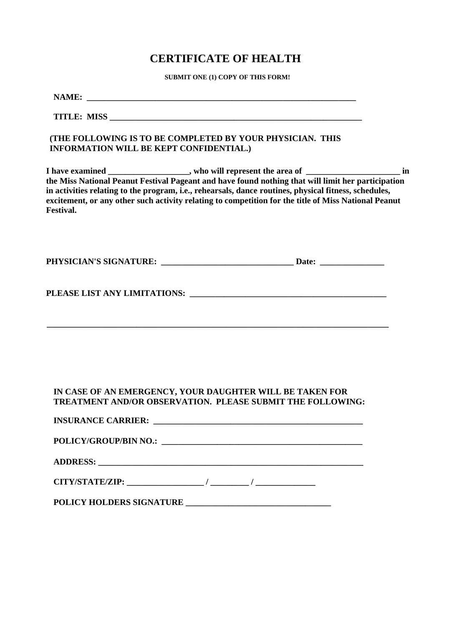# **CERTIFICATE OF HEALTH** SUBMIT ONE (1) COPY OF THIS FORM!

|                  | <b>INFORMATION WILL BE KEPT CONFIDENTIAL.)</b> | (THE FOLLOWING IS TO BE COMPLETED BY YOUR PHYSICIAN. THIS                                                                                                                                                                                                                                                                                                                                                             |  |
|------------------|------------------------------------------------|-----------------------------------------------------------------------------------------------------------------------------------------------------------------------------------------------------------------------------------------------------------------------------------------------------------------------------------------------------------------------------------------------------------------------|--|
| <b>Festival.</b> |                                                | I have examined __________________, who will represent the area of ________________________ in<br>the Miss National Peanut Festival Pageant and have found nothing that will limit her participation<br>in activities relating to the program, i.e., rehearsals, dance routines, physical fitness, schedules,<br>excitement, or any other such activity relating to competition for the title of Miss National Peanut |  |
|                  |                                                |                                                                                                                                                                                                                                                                                                                                                                                                                       |  |
|                  |                                                |                                                                                                                                                                                                                                                                                                                                                                                                                       |  |
|                  |                                                | IN CASE OF AN EMERGENCY, YOUR DAUGHTER WILL BE TAKEN FOR                                                                                                                                                                                                                                                                                                                                                              |  |
|                  |                                                | TREATMENT AND/OR OBSERVATION. PLEASE SUBMIT THE FOLLOWING:                                                                                                                                                                                                                                                                                                                                                            |  |
|                  |                                                |                                                                                                                                                                                                                                                                                                                                                                                                                       |  |
|                  |                                                |                                                                                                                                                                                                                                                                                                                                                                                                                       |  |
|                  |                                                |                                                                                                                                                                                                                                                                                                                                                                                                                       |  |
|                  |                                                |                                                                                                                                                                                                                                                                                                                                                                                                                       |  |
|                  |                                                |                                                                                                                                                                                                                                                                                                                                                                                                                       |  |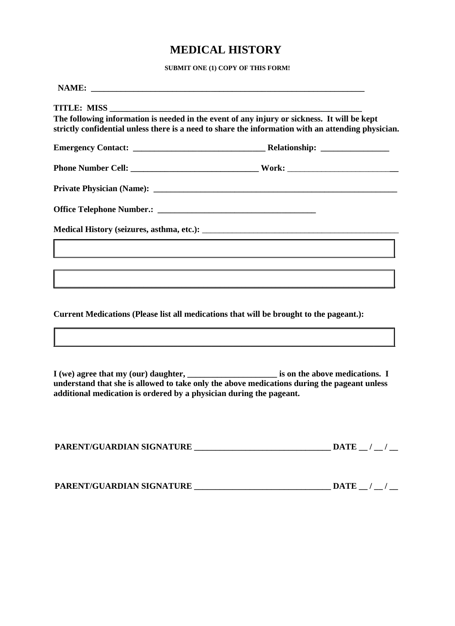# **MEDICAL HISTORY** SUBMIT ONE (1) COPY OF THIS FORM!

|                                                                     | The following information is needed in the event of any injury or sickness. It will be kept<br>strictly confidential unless there is a need to share the information with an attending physician.                             |
|---------------------------------------------------------------------|-------------------------------------------------------------------------------------------------------------------------------------------------------------------------------------------------------------------------------|
|                                                                     |                                                                                                                                                                                                                               |
|                                                                     |                                                                                                                                                                                                                               |
|                                                                     |                                                                                                                                                                                                                               |
|                                                                     |                                                                                                                                                                                                                               |
|                                                                     |                                                                                                                                                                                                                               |
|                                                                     | the control of the control of the control of the control of the control of the control of the control of the control of the control of the control of the control of the control of the control of the control of the control |
|                                                                     |                                                                                                                                                                                                                               |
|                                                                     |                                                                                                                                                                                                                               |
|                                                                     | Current Medications (Please list all medications that will be brought to the pageant.):                                                                                                                                       |
|                                                                     |                                                                                                                                                                                                                               |
| additional medication is ordered by a physician during the pageant. | understand that she is allowed to take only the above medications during the pageant unless                                                                                                                                   |

| PARENT/GUARDIAN SIGNATURE |  | <b>DATE</b> |  |  |
|---------------------------|--|-------------|--|--|
|---------------------------|--|-------------|--|--|

| PARENT/GUARDIAN SIGNATURE | <b>DATE</b> |
|---------------------------|-------------|
|                           |             |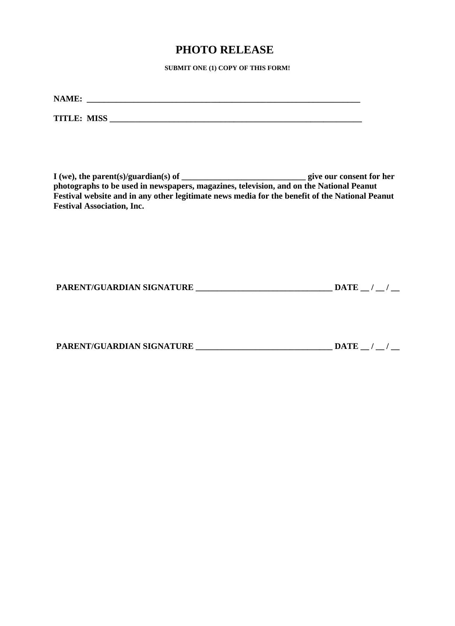## **PHOTO RELEASE**<br>SUBMIT ONE (1) COPY OF THIS FORM!

| NAME:              |  |  |  |
|--------------------|--|--|--|
| <b>TITLE: MISS</b> |  |  |  |

**I (we), the parent(s)/guardian(s) of \_\_\_\_\_\_\_\_\_\_\_\_\_\_\_\_\_\_\_\_\_\_\_\_\_\_\_\_\_ give our consent for her photographs to be used in newspapers, magazines, television, and on the National Peanut Festival website and in any other legitimate news media for the benefit of the National Peanut Festival Association, Inc.** 

| PARENT/GUARDIAN SIGNATURE | <b>DATE</b> |  |
|---------------------------|-------------|--|
|                           |             |  |

| PARENT/GUARDIAN SIGNATURE | DATE |  |
|---------------------------|------|--|
|                           |      |  |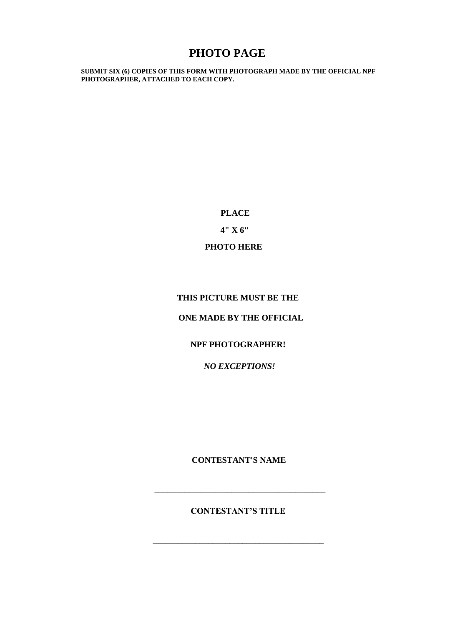**PHOTO PAGE**<br>SUBMIT SIX (6) COPIES OF THIS FORM WITH PHOTOGRAPH MADE BY THE OFFICIAL NPF **PHOTOGRAPHER, ATTACHED TO EACH COPY.**

> **PLACE 4" X 6" PHOTO HERE**

## **THIS PICTURE MUST BE THE**

### **ONE MADE BY THE OFFICIAL**

### **NPF PHOTOGRAPHER!**

 *NO EXCEPTIONS!* 

**CONTESTANT'S NAME** 

**\_\_\_\_\_\_\_\_\_\_\_\_\_\_\_\_\_\_\_\_\_\_\_\_\_\_\_\_\_\_\_\_\_\_\_\_\_\_\_\_**

**CONTESTANT'S TITLE** 

**\_\_\_\_\_\_\_\_\_\_\_\_\_\_\_\_\_\_\_\_\_\_\_\_\_\_\_\_\_\_\_\_\_\_\_\_\_\_\_\_**